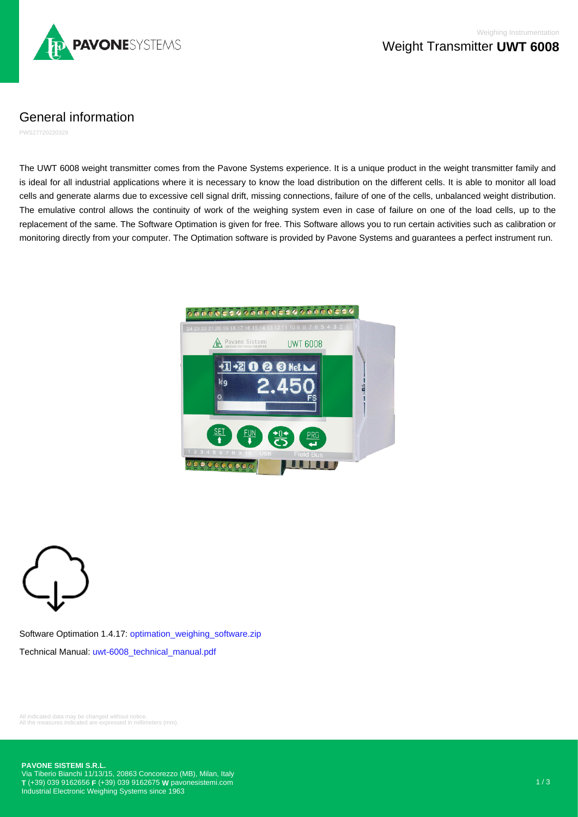

## General information

PWS27720220329

The UWT 6008 weight transmitter comes from the Pavone Systems experience. It is a unique product in the weight transmitter family and is ideal for all industrial applications where it is necessary to know the load distribution on the different cells. It is able to monitor all load cells and generate alarms due to excessive cell signal drift, missing connections, failure of one of the cells, unbalanced weight distribution. The emulative control allows the continuity of work of the weighing system even in case of failure on one of the load cells, up to the replacement of the same. The Software Optimation is given for free. This Software allows you to run certain activities such as calibration or monitoring directly from your computer. The Optimation software is provided by Pavone Systems and guarantees a perfect instrument run.





Software Optimation 1.4.17: [optimation\\_weighing\\_software.zip](https://www.pavonesistemi.com/app_data/docs/products/software/optimation_weighing_software.zip) Technical Manual: [uwt-6008\\_technical\\_manual.pdf](https://www.pavonesistemi.com/app_data/docs/products/manuals/uwt-6008_technical_manual.pdf)

All indicated data may be changed without notice. All the measures indicated are expressed in millimeters (mm).

**PAVONE SISTEMI S.R.L.**

Via Tiberio Bianchi 11/13/15, 20863 Concorezzo (MB), Milan, Italy **T** (+39) 039 9162656 **F** (+39) 039 9162675 **W** [pavonesistemi.com](https://www.pavonesistemi.com) Industrial Electronic Weighing Systems since 1963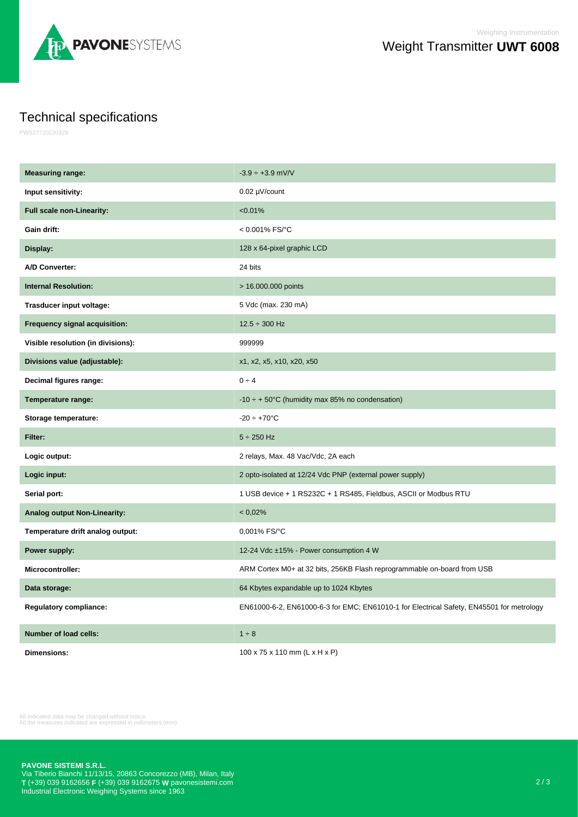

## Technical specifications

PWS27720220329

| <b>Measuring range:</b>             | $-3.9 \div +3.9$ mV/V                                                                    |
|-------------------------------------|------------------------------------------------------------------------------------------|
| Input sensitivity:                  | 0.02 µV/count                                                                            |
| <b>Full scale non-Linearity:</b>    | < 0.01%                                                                                  |
| Gain drift:                         | < 0.001% FS/°C                                                                           |
| Display:                            | 128 x 64-pixel graphic LCD                                                               |
| A/D Converter:                      | 24 bits                                                                                  |
| <b>Internal Resolution:</b>         | > 16.000.000 points                                                                      |
| Trasducer input voltage:            | 5 Vdc (max. 230 mA)                                                                      |
| Frequency signal acquisition:       | $12.5 \div 300$ Hz                                                                       |
| Visible resolution (in divisions):  | 999999                                                                                   |
| Divisions value (adjustable):       | x1, x2, x5, x10, x20, x50                                                                |
| Decimal figures range:              | $0 \div 4$                                                                               |
| Temperature range:                  | -10 $\div$ + 50°C (humidity max 85% no condensation)                                     |
|                                     |                                                                                          |
| Storage temperature:                | $-20 \div +70^{\circ}$ C                                                                 |
| Filter:                             | $5 \div 250$ Hz                                                                          |
| Logic output:                       | 2 relays, Max. 48 Vac/Vdc, 2A each                                                       |
| Logic input:                        | 2 opto-isolated at 12/24 Vdc PNP (external power supply)                                 |
| Serial port:                        | 1 USB device + 1 RS232C + 1 RS485, Fieldbus, ASCII or Modbus RTU                         |
| <b>Analog output Non-Linearity:</b> | < 0.02%                                                                                  |
| Temperature drift analog output:    | 0,001% FS/°C                                                                             |
| Power supply:                       | 12-24 Vdc ±15% - Power consumption 4 W                                                   |
| Microcontroller:                    | ARM Cortex M0+ at 32 bits, 256KB Flash reprogrammable on-board from USB                  |
| Data storage:                       | 64 Kbytes expandable up to 1024 Kbytes                                                   |
| <b>Regulatory compliance:</b>       | EN61000-6-2, EN61000-6-3 for EMC; EN61010-1 for Electrical Safety, EN45501 for metrology |
| Number of load cells:               | $1 \div 8$                                                                               |

All indicated data may be changed without notice. All the measures indicated are expressed in millimeters (mm).